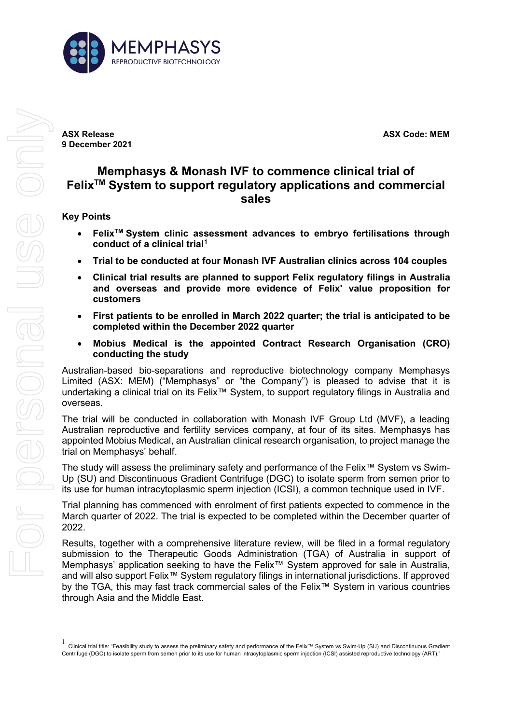

**ASX Release ASX Code: MEM 9 December 2021**

# **Memphasys & Monash IVF to commence clinical trial of FelixTM System to support regulatory applications and commercial sales**

### **Key Points**

- **FelixTM System clinic assessment advances to embryo fertilisations through conduct of a clinical trial[1](#page-0-0)**
- **Trial to be conducted at four Monash IVF Australian clinics across 104 couples**
- **Clinical trial results are planned to support Felix regulatory filings in Australia and overseas and provide more evidence of Felix' value proposition for customers**
- **First patients to be enrolled in March 2022 quarter; the trial is anticipated to be completed within the December 2022 quarter**
- **Mobius Medical is the appointed Contract Research Organisation (CRO) conducting the study**

Australian-based bio-separations and reproductive biotechnology company Memphasys Limited (ASX: MEM) ("Memphasys" or "the Company") is pleased to advise that it is undertaking a clinical trial on its Felix™ System, to support regulatory filings in Australia and overseas.

The trial will be conducted in collaboration with Monash IVF Group Ltd (MVF), a leading Australian reproductive and fertility services company, at four of its sites. Memphasys has appointed Mobius Medical, an Australian clinical research organisation, to project manage the trial on Memphasys' behalf.

The study will assess the preliminary safety and performance of the Felix™ System vs Swim-Up (SU) and Discontinuous Gradient Centrifuge (DGC) to isolate sperm from semen prior to its use for human intracytoplasmic sperm injection (ICSI), a common technique used in IVF.

Trial planning has commenced with enrolment of first patients expected to commence in the March quarter of 2022. The trial is expected to be completed within the December quarter of 2022.

Results, together with a comprehensive literature review, will be filed in a formal regulatory submission to the Therapeutic Goods Administration (TGA) of Australia in support of Memphasys' application seeking to have the Felix™ System approved for sale in Australia, and will also support Felix<sup>™</sup> System regulatory filings in international jurisdictions. If approved by the TGA, this may fast track commercial sales of the Felix™ System in various countries through Asia and the Middle East.

<span id="page-0-0"></span><sup>1</sup> Clinical trial title: "Feasibility study to assess the preliminary safety and performance of the Felix™ System vs Swim-Up (SU) and Discontinuous Gradient Centrifuge (DGC) to isolate sperm from semen prior to its use for human intracytoplasmic sperm injection (ICSI) assisted reproductive technology (ART)."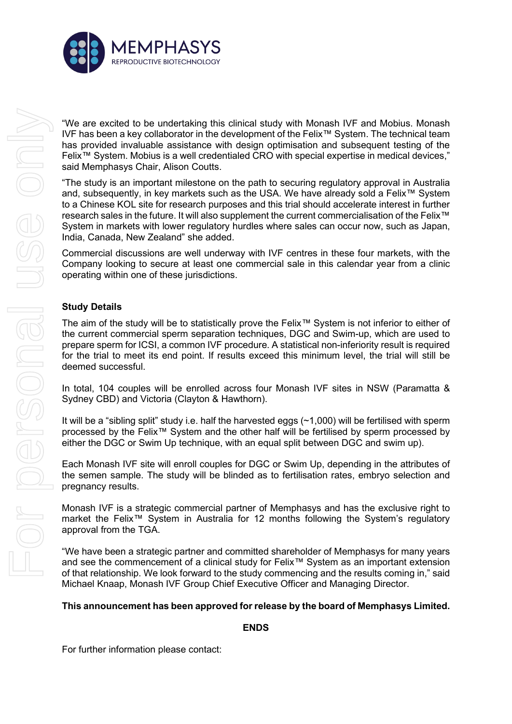

"We are excited to be undertaking this clinical study with Monash IVF and Mobius. Monash IVF has been a key collaborator in the development of the Felix™ System. The technical team has provided invaluable assistance with design optimisation and subsequent testing of the Felix™ System. Mobius is a well credentialed CRO with special expertise in medical devices," said Memphasys Chair, Alison Coutts.

"The study is an important milestone on the path to securing regulatory approval in Australia and, subsequently, in key markets such as the USA. We have already sold a Felix™ System to a Chinese KOL site for research purposes and this trial should accelerate interest in further research sales in the future. It will also supplement the current commercialisation of the Felix™ System in markets with lower regulatory hurdles where sales can occur now, such as Japan, India, Canada, New Zealand" she added.

Commercial discussions are well underway with IVF centres in these four markets, with the Company looking to secure at least one commercial sale in this calendar year from a clinic operating within one of these jurisdictions.

## **Study Details**

The aim of the study will be to statistically prove the Felix*™* System is not inferior to either of the current commercial sperm separation techniques, DGC and Swim-up, which are used to prepare sperm for ICSI, a common IVF procedure. A statistical non-inferiority result is required for the trial to meet its end point. If results exceed this minimum level, the trial will still be deemed successful.

In total, 104 couples will be enrolled across four Monash IVF sites in NSW (Paramatta & Sydney CBD) and Victoria (Clayton & Hawthorn).

It will be a "sibling split" study i.e. half the harvested eggs (~1,000) will be fertilised with sperm processed by the Felix™ System and the other half will be fertilised by sperm processed by either the DGC or Swim Up technique, with an equal split between DGC and swim up).

Each Monash IVF site will enroll couples for DGC or Swim Up, depending in the attributes of the semen sample. The study will be blinded as to fertilisation rates, embryo selection and pregnancy results.

Monash IVF is a strategic commercial partner of Memphasys and has the exclusive right to market the Felix™ System in Australia for 12 months following the System's regulatory approval from the TGA.

"We have been a strategic partner and committed shareholder of Memphasys for many years and see the commencement of a clinical study for Felix*™* System as an important extension of that relationship. We look forward to the study commencing and the results coming in," said Michael Knaap, Monash IVF Group Chief Executive Officer and Managing Director.

#### **This announcement has been approved for release by the board of Memphasys Limited.**

#### **ENDS**

For further information please contact: